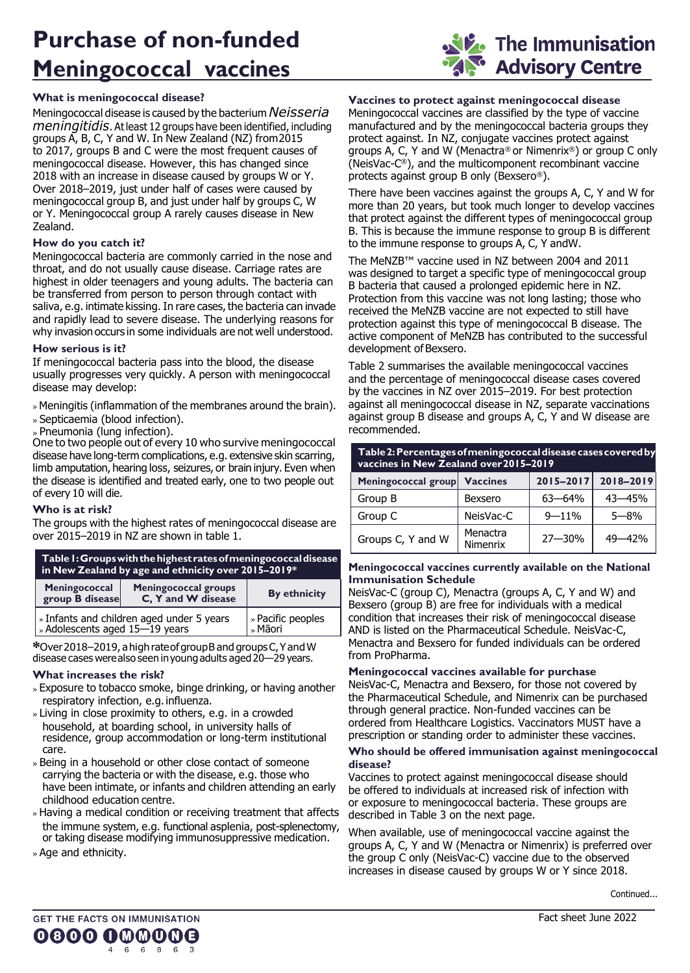# **Purchase of non-funded Meningococcal vaccines**

# **What is meningococcal disease?**

Meningococcal disease is caused by the bacterium *Neisseria meningitidis*. Atleast 12 groups have been identified, including groups A, B, C, Y and W. In New Zealand (NZ) from2015 to 2017, groups B and C were the most frequent causes of meningococcal disease. However, this has changed since 2018 with an increase in disease caused by groups W or Y. Over 2018–2019, just under half of cases were caused by meningococcal group B, and just under half by groups C, W or Y. Meningococcal group A rarely causes disease in New Zealand.

# **How do you catch it?**

Meningococcal bacteria are commonly carried in the nose and throat, and do not usually cause disease. Carriage rates are highest in older teenagers and young adults. The bacteria can be transferred from person to person through contact with saliva, e.g. intimate kissing. In rare cases, the bacteria can invade and rapidly lead to severe disease. The underlying reasons for why invasion occurs in some individuals are not well understood.

# **How serious is it?**

If meningococcal bacteria pass into the blood, the disease usually progresses very quickly. A person with meningococcal disease may develop:

- » Meningitis (inflammation of the membranes around the brain).
- » Septicaemia (blood infection).
- » Pneumonia (lung infection).

One to two people out of every 10 who survive meningococcal disease have long-term complications, e.g. extensive skin scarring, limb amputation, hearing loss, seizures, or brain injury. Even when the disease is identified and treated early, one to two people out of every 10 will die.

# **Who is at risk?**

The groups with the highest rates of meningococcal disease are over 2015–2019 in NZ are shown in table 1.

| Table 1: Groups with the highest rates of meningococcal disease<br>$\,$ in New Zealand by age and ethnicity over 2015–2019 $^*$ $\,$ |  |
|--------------------------------------------------------------------------------------------------------------------------------------|--|
|                                                                                                                                      |  |

| Meningococcal<br>group B disease                                            | <b>Meningococcal groups</b><br>C. Y and W disease | <b>By ethnicity</b>          |
|-----------------------------------------------------------------------------|---------------------------------------------------|------------------------------|
| » Infants and children aged under 5 years<br>» Adolescents aged 15-19 years |                                                   | » Pacific peoples<br>» Māori |

**\***Over2018–2019, ahigh rateofgroupB and groupsC,YandW disease cases werealso seen inyoungadults aged20—29 years.

# **What increases the risk?**

- » Exposure to tobacco smoke, binge drinking, or having another respiratory infection, e.g.influenza.
- Living in close proximity to others, e.g. in a crowded household, at boarding school, in university halls of residence, group accommodation or long-term institutional care.
- » Being in a household or other close contact of someone carrying the bacteria or with the disease, e.g. those who have been intimate, or infants and children attending an early childhood education centre.
- » Having a medical condition or receiving treatment that affects the immune system, e.g. functional asplenia, post-splenectomy, or taking disease modifying immunosuppressive medication.
- » Age and ethnicity.

# **Vaccines to protect against meningococcal disease**

Meningococcal vaccines are classified by the type of vaccine manufactured and by the meningococcal bacteria groups they protect against. In NZ, conjugate vaccines protect against groups A, C, Y and W (Menactra® or Nimenrix®) or group C only (NeisVac-C ®), and the multicomponent recombinant vaccine protects against group B only (Bexsero®).

There have been vaccines against the groups A, C, Y and W for more than 20 years, but took much longer to develop vaccines that protect against the different types of meningococcal group B. This is because the immune response to group B is different to the immune response to groups A, C, Y andW.

The MeNZB™ vaccine used in NZ between 2004 and 2011 was designed to target a specific type of meningococcal group B bacteria that caused a prolonged epidemic here in NZ. Protection from this vaccine was not long lasting; those who received the MeNZB vaccine are not expected to still have protection against this type of meningococcal B disease. The active component of MeNZB has contributed to the successful development of Bexsero.

Table 2 summarises the available meningococcal vaccines and the percentage of meningococcal disease cases covered by the vaccines in NZ over 2015–2019. For best protection against all meningococcal disease in NZ, separate vaccinations against group B disease and groups A, C, Y and W disease are recommended.

| Table 2: Percentages of meningococcal disease cases covered by<br>vaccines in New Zealand over 2015-2019 |                             |            |            |
|----------------------------------------------------------------------------------------------------------|-----------------------------|------------|------------|
| Meningococcal group Vaccines                                                                             |                             | 2015-2017  | 2018-2019  |
| Group B                                                                                                  | <b>Bexsero</b>              | $63 - 64%$ | $43 - 45%$ |
| Group C                                                                                                  | NeisVac-C                   | $9 - 11%$  | $5 - 8%$   |
| Groups C, Y and W                                                                                        | Menactra<br><b>Nimenrix</b> | $27 - 30%$ | 49–42%     |

### **Meningococcal vaccines currently available on the National Immunisation Schedule**

NeisVac-C (group C), Menactra (groups A, C, Y and W) and Bexsero (group B) are free for individuals with a medical condition that increases their risk of meningococcal disease AND is listed on the Pharmaceutical Schedule. NeisVac-C, Menactra and Bexsero for funded individuals can be ordered from ProPharma.

# **Meningococcal vaccines available for purchase**

NeisVac-C, Menactra and Bexsero, for those not covered by the Pharmaceutical Schedule, and Nimenrix can be purchased through general practice. Non-funded vaccines can be ordered from Healthcare Logistics. Vaccinators MUST have a prescription or standing order to administer these vaccines.

#### **Who should be offered immunisation against meningococcal disease?**

Vaccines to protect against meningococcal disease should be offered to individuals at increased risk of infection with or exposure to meningococcal bacteria. These groups are described in Table 3 on the next page.

When available, use of meningococcal vaccine against the groups A, C, Y and W (Menactra or Nimenrix) is preferred over the group C only (NeisVac-C) vaccine due to the observed increases in disease caused by groups W or Y since 2018.

The Immunisation **Advisory Centre**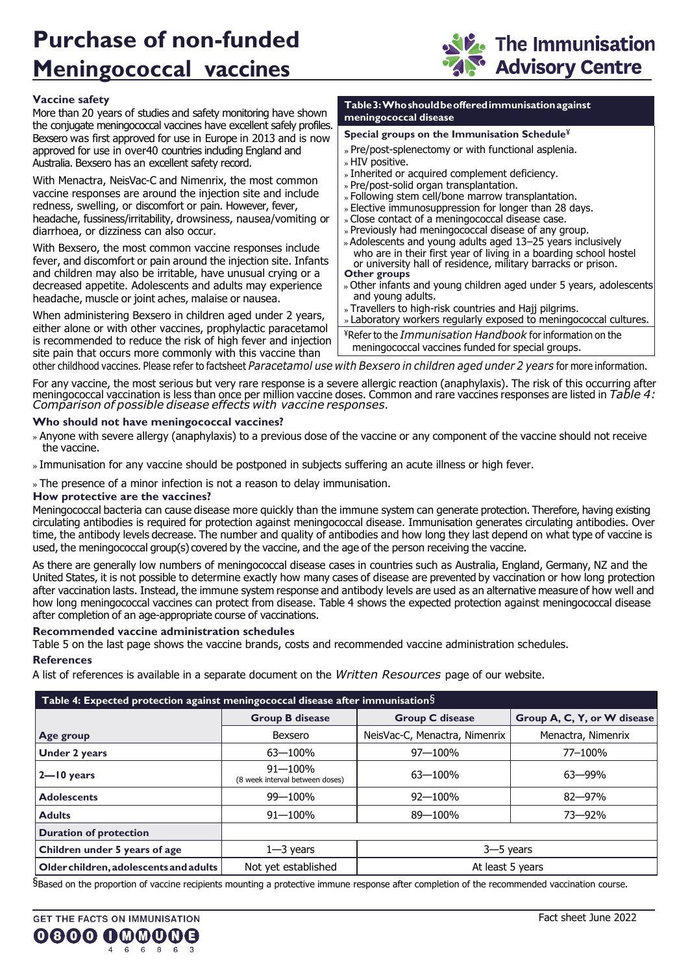# **Purchase of non-funded Meningococcal vaccines**



# **Vaccine safety**

More than 20 years of studies and safety monitoring have shown the conjugate meningococcal vaccines have excellent safely profiles. Bexsero was first approved for use in Europe in 2013 and is now approved for use in over40 countries including England and Australia. Bexsero has an excellent safety record.

With Menactra, NeisVac-C and Nimenrix, the most common vaccine responses are around the injection site and include redness, swelling, or discomfort or pain. However, fever, headache, fussiness/irritability, drowsiness, nausea/vomiting or diarrhoea, or dizziness can also occur.

With Bexsero, the most common vaccine responses include fever, and discomfort or pain around the injection site. Infants and children may also be irritable, have unusual crying or a decreased appetite. Adolescents and adults may experience headache, muscle or joint aches, malaise or nausea.

When administering Bexsero in children aged under 2 years, either alone or with other vaccines, prophylactic paracetamol is recommended to reduce the risk of high fever and injection site pain that occurs more commonly with this vaccine than

#### **Table3:Whoshouldbeofferedimmunisationagainst meningococcal disease**

### **Special groups on the Immunisation Schedule**¥

- » Pre/post-splenectomy or with functional asplenia.
- » HIV positive.
- » Inherited or acquired complement deficiency.
- » Pre/post-solid organ transplantation.
- Following stem cell/bone marrow transplantation.
- » Elective immunosuppression for longer than 28 days.
- Close contact of a meningococcal disease case.
- » Previously had meningococcal disease of any group.
- Adolescents and young adults aged 13–25 years inclusively who are in their first year of living in a boarding school hostel or university hall of residence, military barracks or prison. **Other groups**
- Other infants and young children aged under 5 years, adolescents and young adults.
- » Travellers to high-risk countries and Hajj pilgrims.

» Laboratory workers regularly exposed to meningococcal cultures.

¥Refer to the *Immunisation Handbook* for information on the meningococcal vaccines funded for special groups.

other childhood vaccines. Please refer to factsheet *Paracetamol use with Bexsero in children aged under 2 years* for more information.

For any vaccine, the most serious but very rare response is a severe allergic reaction (anaphylaxis). The risk of this occurring after meningococcal vaccination is less than once per million vaccine doses. Common and rare vaccines responses are listed in *Table 4: Comparison of possible disease effects with vaccine responses*.

### **Who should not have meningococcal vaccines?**

- » Anyone with severe allergy (anaphylaxis) to a previous dose of the vaccine or any component of the vaccine should not receive the vaccine.
- Immunisation for any vaccine should be postponed in subjects suffering an acute illness or high fever.

» The presence of a minor infection is not a reason to delay immunisation.

### **How protective are the vaccines?**

Meningococcal bacteria can cause disease more quickly than the immune system can generate protection. Therefore, having existing circulating antibodies is required for protection against meningococcal disease. Immunisation generates circulating antibodies. Over time, the antibody levels decrease. The number and quality of antibodies and how long they last depend on what type of vaccine is used, the meningococcal group(s) covered by the vaccine, and the age of the person receiving the vaccine.

As there are generally low numbers of meningococcal disease cases in countries such as Australia, England, Germany, NZ and the United States, it is not possible to determine exactly how many cases of disease are prevented by vaccination or how long protection after vaccination lasts. Instead, the immune system response and antibody levels are used as an alternative measure of how well and how long meningococcal vaccines can protect from disease. Table 4 shows the expected protection against meningococcal disease after completion of an age-appropriate course of vaccinations.

### **Recommended vaccine administration schedules**

Table 5 on the last page shows the vaccine brands, costs and recommended vaccine administration schedules.

### **References**

A list of references is available in a separate document on the *Written Resources* page of our website.

| Table 4: Expected protection against meningococcal disease after immunisation $\S$ |                                                |                               |                             |
|------------------------------------------------------------------------------------|------------------------------------------------|-------------------------------|-----------------------------|
|                                                                                    | <b>Group B disease</b>                         | <b>Group C disease</b>        | Group A, C, Y, or W disease |
| Age group                                                                          | Bexsero                                        | NeisVac-C, Menactra, Nimenrix | Menactra, Nimenrix          |
| <b>Under 2 years</b>                                                               | $63 - 100\%$                                   | $97 - 100%$                   | 77-100%                     |
| $2 - 10$ years                                                                     | $91 - 100%$<br>(8 week interval between doses) | $63 - 100%$                   | $63 - 99%$                  |
| <b>Adolescents</b>                                                                 | 99-100%                                        | $92 - 100%$                   | $82 - 97%$                  |
| <b>Adults</b>                                                                      | $91 - 100\%$                                   | 89-100%                       | 73-92%                      |
| <b>Duration of protection</b>                                                      |                                                |                               |                             |
| Children under 5 years of age                                                      | $1 - 3$ years                                  | $3 - 5$ years                 |                             |
| Older children, adolescents and adults                                             | Not yet established                            | At least 5 years              |                             |

§Based on the proportion of vaccine recipients mounting a protective immune response after completion of the recommended vaccination course.